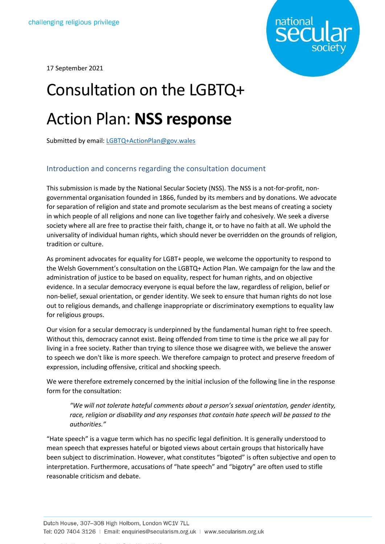

17 September 2021

# Consultation on the LGBTQ+ Action Plan: **NSS response**

Submitted by email: [LGBTQ+ActionPlan@gov.wales](mailto:LGBTQ+ActionPlan@gov.wales)

## Introduction and concerns regarding the consultation document

This submission is made by the National Secular Society (NSS). The NSS is a not-for-profit, nongovernmental organisation founded in 1866, funded by its members and by donations. We advocate for separation of religion and state and promote secularism as the best means of creating a society in which people of all religions and none can live together fairly and cohesively. We seek a diverse society where all are free to practise their faith, change it, or to have no faith at all. We uphold the universality of individual human rights, which should never be overridden on the grounds of religion, tradition or culture.

As prominent advocates for equality for LGBT+ people, we welcome the opportunity to respond to the Welsh Government's consultation on the LGBTQ+ Action Plan. We campaign for the law and the administration of justice to be based on equality, respect for human rights, and on objective evidence. In a secular democracy everyone is equal before the law, regardless of religion, belief or non-belief, sexual orientation, or gender identity. We seek to ensure that human rights do not lose out to religious demands, and challenge inappropriate or discriminatory exemptions to equality law for religious groups.

Our vision for a secular democracy is underpinned by the fundamental human right to free speech. Without this, democracy cannot exist. Being offended from time to time is the price we all pay for living in a free society. Rather than trying to silence those we disagree with, we believe the answer to speech we don't like is more speech. We therefore campaign to protect and preserve freedom of expression, including offensive, critical and shocking speech.

We were therefore extremely concerned by the initial inclusion of the following line in the response form for the consultation:

*"We will not tolerate hateful comments about a person's sexual orientation, gender identity, race, religion or disability and any responses that contain hate speech will be passed to the authorities."*

"Hate speech" is a vague term which has no specific legal definition. It is generally understood to mean speech that expresses hateful or bigoted views about certain groups that historically have been subject to discrimination. However, what constitutes "bigoted" is often subjective and open to interpretation. Furthermore, accusations of "hate speech" and "bigotry" are often used to stifle reasonable criticism and debate.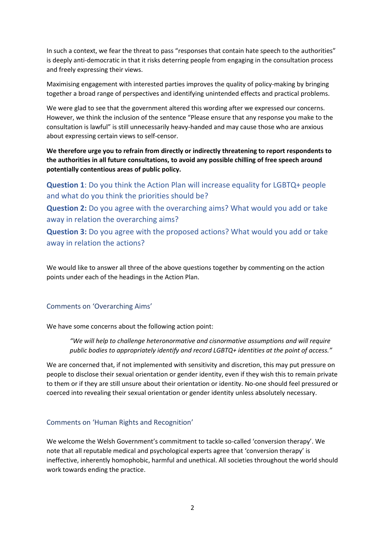In such a context, we fear the threat to pass "responses that contain hate speech to the authorities" is deeply anti-democratic in that it risks deterring people from engaging in the consultation process and freely expressing their views.

Maximising engagement with interested parties improves the quality of policy-making by bringing together a broad range of perspectives and identifying unintended effects and practical problems.

We were glad to see that the government altered this wording after we expressed our concerns. However, we think the inclusion of the sentence "Please ensure that any response you make to the consultation is lawful" is still unnecessarily heavy-handed and may cause those who are anxious about expressing certain views to self-censor.

**We therefore urge you to refrain from directly or indirectly threatening to report respondents to the authorities in all future consultations, to avoid any possible chilling of free speech around potentially contentious areas of public policy.**

**Question 1**: Do you think the Action Plan will increase equality for LGBTQ+ people and what do you think the priorities should be?

**Question 2:** Do you agree with the overarching aims? What would you add or take away in relation the overarching aims?

**Question 3:** Do you agree with the proposed actions? What would you add or take away in relation the actions?

We would like to answer all three of the above questions together by commenting on the action points under each of the headings in the Action Plan.

#### Comments on 'Overarching Aims'

We have some concerns about the following action point:

*"We will help to challenge heteronormative and cisnormative assumptions and will require public bodies to appropriately identify and record LGBTQ+ identities at the point of access."*

We are concerned that, if not implemented with sensitivity and discretion, this may put pressure on people to disclose their sexual orientation or gender identity, even if they wish this to remain private to them or if they are still unsure about their orientation or identity. No-one should feel pressured or coerced into revealing their sexual orientation or gender identity unless absolutely necessary.

#### Comments on 'Human Rights and Recognition'

We welcome the Welsh Government's commitment to tackle so-called 'conversion therapy'. We note that all reputable medical and psychological experts agree that 'conversion therapy' is ineffective, inherently homophobic, harmful and unethical. All societies throughout the world should work towards ending the practice.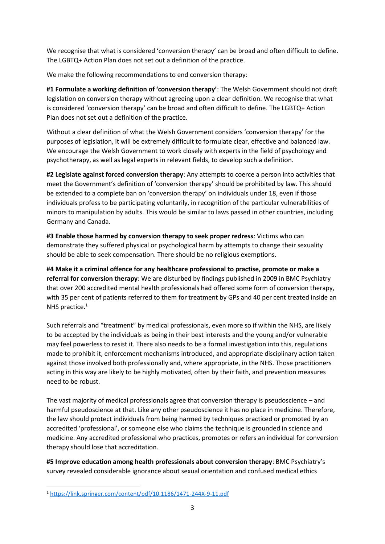We recognise that what is considered 'conversion therapy' can be broad and often difficult to define. The LGBTQ+ Action Plan does not set out a definition of the practice.

We make the following recommendations to end conversion therapy:

**#1 Formulate a working definition of 'conversion therapy'**: The Welsh Government should not draft legislation on conversion therapy without agreeing upon a clear definition. We recognise that what is considered 'conversion therapy' can be broad and often difficult to define. The LGBTQ+ Action Plan does not set out a definition of the practice.

Without a clear definition of what the Welsh Government considers 'conversion therapy' for the purposes of legislation, it will be extremely difficult to formulate clear, effective and balanced law. We encourage the Welsh Government to work closely with experts in the field of psychology and psychotherapy, as well as legal experts in relevant fields, to develop such a definition.

**#2 Legislate against forced conversion therapy**: Any attempts to coerce a person into activities that meet the Government's definition of 'conversion therapy' should be prohibited by law. This should be extended to a complete ban on 'conversion therapy' on individuals under 18, even if those individuals profess to be participating voluntarily, in recognition of the particular vulnerabilities of minors to manipulation by adults. This would be similar to laws passed in other countries, including Germany and Canada.

**#3 Enable those harmed by conversion therapy to seek proper redress**: Victims who can demonstrate they suffered physical or psychological harm by attempts to change their sexuality should be able to seek compensation. There should be no religious exemptions.

**#4 Make it a criminal offence for any healthcare professional to practise, promote or make a referral for conversion therapy**: We are disturbed by findings published in 2009 in BMC Psychiatry that over 200 accredited mental health professionals had offered some form of conversion therapy, with 35 per cent of patients referred to them for treatment by GPs and 40 per cent treated inside an NHS practice.<sup>1</sup>

Such referrals and "treatment" by medical professionals, even more so if within the NHS, are likely to be accepted by the individuals as being in their best interests and the young and/or vulnerable may feel powerless to resist it. There also needs to be a formal investigation into this, regulations made to prohibit it, enforcement mechanisms introduced, and appropriate disciplinary action taken against those involved both professionally and, where appropriate, in the NHS. Those practitioners acting in this way are likely to be highly motivated, often by their faith, and prevention measures need to be robust.

The vast majority of medical professionals agree that conversion therapy is pseudoscience – and harmful pseudoscience at that. Like any other pseudoscience it has no place in medicine. Therefore, the law should protect individuals from being harmed by techniques practiced or promoted by an accredited 'professional', or someone else who claims the technique is grounded in science and medicine. Any accredited professional who practices, promotes or refers an individual for conversion therapy should lose that accreditation.

**#5 Improve education among health professionals about conversion therapy**: BMC Psychiatry's survey revealed considerable ignorance about sexual orientation and confused medical ethics

<sup>1</sup> <https://link.springer.com/content/pdf/10.1186/1471-244X-9-11.pdf>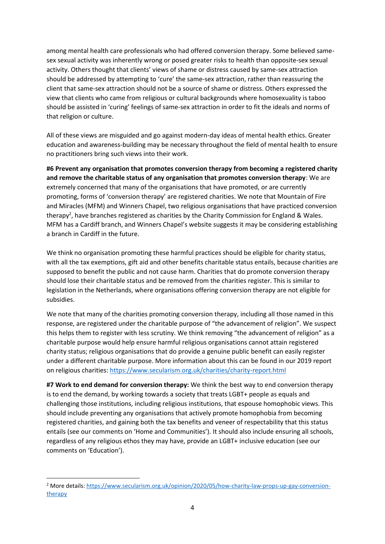among mental health care professionals who had offered conversion therapy. Some believed samesex sexual activity was inherently wrong or posed greater risks to health than opposite-sex sexual activity. Others thought that clients' views of shame or distress caused by same-sex attraction should be addressed by attempting to 'cure' the same-sex attraction, rather than reassuring the client that same-sex attraction should not be a source of shame or distress. Others expressed the view that clients who came from religious or cultural backgrounds where homosexuality is taboo should be assisted in 'curing' feelings of same-sex attraction in order to fit the ideals and norms of that religion or culture.

All of these views are misguided and go against modern-day ideas of mental health ethics. Greater education and awareness-building may be necessary throughout the field of mental health to ensure no practitioners bring such views into their work.

**#6 Prevent any organisation that promotes conversion therapy from becoming a registered charity and remove the charitable status of any organisation that promotes conversion therapy**: We are extremely concerned that many of the organisations that have promoted, or are currently promoting, forms of 'conversion therapy' are registered charities. We note that Mountain of Fire and Miracles (MFM) and Winners Chapel, two religious organisations that have practiced conversion therapy<sup>2</sup>, have branches registered as charities by the Charity Commission for England & Wales. MFM has a Cardiff branch, and Winners Chapel's website suggests it may be considering establishing a branch in Cardiff in the future.

We think no organisation promoting these harmful practices should be eligible for charity status, with all the tax exemptions, gift aid and other benefits charitable status entails, because charities are supposed to benefit the public and not cause harm. Charities that do promote conversion therapy should lose their charitable status and be removed from the charities register. This is similar to legislation in the Netherlands, where organisations offering conversion therapy are not eligible for subsidies.

We note that many of the charities promoting conversion therapy, including all those named in this response, are registered under the charitable purpose of "the advancement of religion". We suspect this helps them to register with less scrutiny. We think removing "the advancement of religion" as a charitable purpose would help ensure harmful religious organisations cannot attain registered charity status; religious organisations that do provide a genuine public benefit can easily register under a different charitable purpose. More information about this can be found in our 2019 report on religious charities:<https://www.secularism.org.uk/charities/charity-report.html>

**#7 Work to end demand for conversion therapy:** We think the best way to end conversion therapy is to end the demand, by working towards a society that treats LGBT+ people as equals and challenging those institutions, including religious institutions, that espouse homophobic views. This should include preventing any organisations that actively promote homophobia from becoming registered charities, and gaining both the tax benefits and veneer of respectability that this status entails (see our comments on 'Home and Communities'). It should also include ensuring all schools, regardless of any religious ethos they may have, provide an LGBT+ inclusive education (see our comments on 'Education').

<sup>2</sup> More details: [https://www.secularism.org.uk/opinion/2020/05/how-charity-law-props-up-gay-conversion](https://www.secularism.org.uk/opinion/2020/05/how-charity-law-props-up-gay-conversion-therapy)[therapy](https://www.secularism.org.uk/opinion/2020/05/how-charity-law-props-up-gay-conversion-therapy)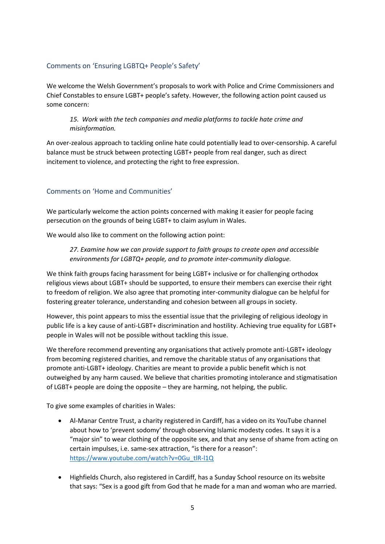## Comments on 'Ensuring LGBTQ+ People's Safety'

We welcome the Welsh Government's proposals to work with Police and Crime Commissioners and Chief Constables to ensure LGBT+ people's safety. However, the following action point caused us some concern:

#### *15. Work with the tech companies and media platforms to tackle hate crime and misinformation.*

An over-zealous approach to tackling online hate could potentially lead to over-censorship. A careful balance must be struck between protecting LGBT+ people from real danger, such as direct incitement to violence, and protecting the right to free expression.

## Comments on 'Home and Communities'

We particularly welcome the action points concerned with making it easier for people facing persecution on the grounds of being LGBT+ to claim asylum in Wales.

We would also like to comment on the following action point:

*27. Examine how we can provide support to faith groups to create open and accessible environments for LGBTQ+ people, and to promote inter-community dialogue.*

We think faith groups facing harassment for being LGBT+ inclusive or for challenging orthodox religious views about LGBT+ should be supported, to ensure their members can exercise their right to freedom of religion. We also agree that promoting inter-community dialogue can be helpful for fostering greater tolerance, understanding and cohesion between all groups in society.

However, this point appears to miss the essential issue that the privileging of religious ideology in public life is a key cause of anti-LGBT+ discrimination and hostility. Achieving true equality for LGBT+ people in Wales will not be possible without tackling this issue.

We therefore recommend preventing any organisations that actively promote anti-LGBT+ ideology from becoming registered charities, and remove the charitable status of any organisations that promote anti-LGBT+ ideology. Charities are meant to provide a public benefit which is not outweighed by any harm caused. We believe that charities promoting intolerance and stigmatisation of LGBT+ people are doing the opposite – they are harming, not helping, the public.

To give some examples of charities in Wales:

- Al-Manar Centre Trust, a charity registered in Cardiff, has a video on its YouTube channel about how to 'prevent sodomy' through observing Islamic modesty codes. It says it is a "major sin" to wear clothing of the opposite sex, and that any sense of shame from acting on certain impulses, i.e. same-sex attraction, "is there for a reason": [https://www.youtube.com/watch?v=0Gu\\_tlR-l1Q](https://www.youtube.com/watch?v=0Gu_tlR-l1Q)
- Highfields Church, also registered in Cardiff, has a Sunday School resource on its website that says: "Sex is a good gift from God that he made for a man and woman who are married.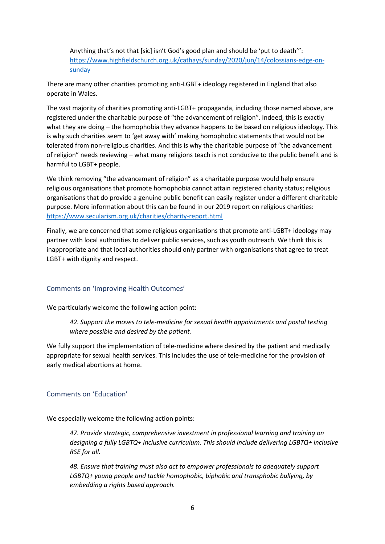Anything that's not that [sic] isn't God's good plan and should be 'put to death'": [https://www.highfieldschurch.org.uk/cathays/sunday/2020/jun/14/colossians-edge-on](https://www.highfieldschurch.org.uk/cathays/sunday/2020/jun/14/colossians-edge-on-sunday)[sunday](https://www.highfieldschurch.org.uk/cathays/sunday/2020/jun/14/colossians-edge-on-sunday)

There are many other charities promoting anti-LGBT+ ideology registered in England that also operate in Wales.

The vast majority of charities promoting anti-LGBT+ propaganda, including those named above, are registered under the charitable purpose of "the advancement of religion". Indeed, this is exactly what they are doing – the homophobia they advance happens to be based on religious ideology. This is why such charities seem to 'get away with' making homophobic statements that would not be tolerated from non-religious charities. And this is why the charitable purpose of "the advancement of religion" needs reviewing – what many religions teach is not conducive to the public benefit and is harmful to LGBT+ people.

We think removing "the advancement of religion" as a charitable purpose would help ensure religious organisations that promote homophobia cannot attain registered charity status; religious organisations that do provide a genuine public benefit can easily register under a different charitable purpose. More information about this can be found in our 2019 report on religious charities: <https://www.secularism.org.uk/charities/charity-report.html>

Finally, we are concerned that some religious organisations that promote anti-LGBT+ ideology may partner with local authorities to deliver public services, such as youth outreach. We think this is inappropriate and that local authorities should only partner with organisations that agree to treat LGBT+ with dignity and respect.

### Comments on 'Improving Health Outcomes'

We particularly welcome the following action point:

*42. Support the moves to tele-medicine for sexual health appointments and postal testing where possible and desired by the patient.*

We fully support the implementation of tele-medicine where desired by the patient and medically appropriate for sexual health services. This includes the use of tele-medicine for the provision of early medical abortions at home.

#### Comments on 'Education'

We especially welcome the following action points:

*47. Provide strategic, comprehensive investment in professional learning and training on designing a fully LGBTQ+ inclusive curriculum. This should include delivering LGBTQ+ inclusive RSE for all.*

*48. Ensure that training must also act to empower professionals to adequately support LGBTQ+ young people and tackle homophobic, biphobic and transphobic bullying, by embedding a rights based approach.*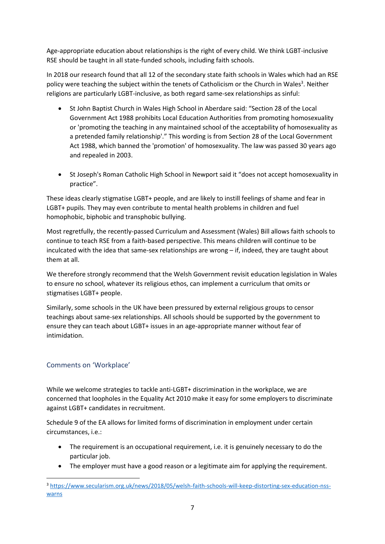Age-appropriate education about relationships is the right of every child. We think LGBT-inclusive RSE should be taught in all state-funded schools, including faith schools.

In 2018 our research found that all 12 of the secondary state faith schools in Wales which had an RSE policy were teaching the subject within the tenets of Catholicism or the Church in Wales<sup>3</sup>. Neither religions are particularly LGBT-inclusive, as both regard same-sex relationships as sinful:

- St John Baptist Church in Wales High School in Aberdare said: "Section 28 of the Local Government Act 1988 prohibits Local Education Authorities from promoting homosexuality or 'promoting the teaching in any maintained school of the acceptability of homosexuality as a pretended family relationship'." This wording is from Section 28 of the Local Government Act 1988, which banned the 'promotion' of homosexuality. The law was passed 30 years ago and repealed in 2003.
- St Joseph's Roman Catholic High School in Newport said it "does not accept homosexuality in practice".

These ideas clearly stigmatise LGBT+ people, and are likely to instill feelings of shame and fear in LGBT+ pupils. They may even contribute to mental health problems in children and fuel homophobic, biphobic and transphobic bullying.

Most regretfully, the recently-passed Curriculum and Assessment (Wales) Bill allows faith schools to continue to teach RSE from a faith-based perspective. This means children will continue to be inculcated with the idea that same-sex relationships are wrong – if, indeed, they are taught about them at all.

We therefore strongly recommend that the Welsh Government revisit education legislation in Wales to ensure no school, whatever its religious ethos, can implement a curriculum that omits or stigmatises LGBT+ people.

Similarly, some schools in the UK have been pressured by external religious groups to censor teachings about same-sex relationships. All schools should be supported by the government to ensure they can teach about LGBT+ issues in an age-appropriate manner without fear of intimidation.

### Comments on 'Workplace'

While we welcome strategies to tackle anti-LGBT+ discrimination in the workplace, we are concerned that loopholes in the Equality Act 2010 make it easy for some employers to discriminate against LGBT+ candidates in recruitment.

Schedule 9 of the EA allows for limited forms of discrimination in employment under certain circumstances, i.e.:

- The requirement is an occupational requirement, i.e. it is genuinely necessary to do the particular job.
- The employer must have a good reason or a legitimate aim for applying the requirement.

<sup>3</sup> [https://www.secularism.org.uk/news/2018/05/welsh-faith-schools-will-keep-distorting-sex-education-nss](https://www.secularism.org.uk/news/2018/05/welsh-faith-schools-will-keep-distorting-sex-education-nss-warns)[warns](https://www.secularism.org.uk/news/2018/05/welsh-faith-schools-will-keep-distorting-sex-education-nss-warns)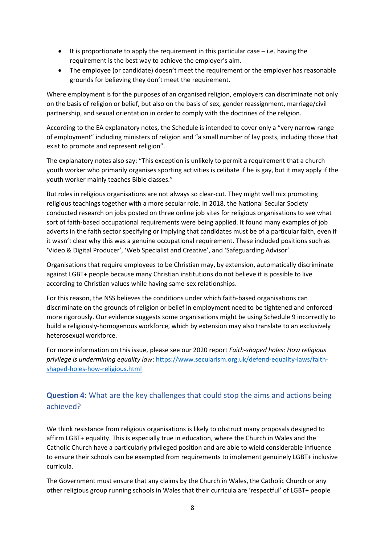- $\bullet$  It is proportionate to apply the requirement in this particular case i.e. having the requirement is the best way to achieve the employer's aim.
- The employee (or candidate) doesn't meet the requirement or the employer has reasonable grounds for believing they don't meet the requirement.

Where employment is for the purposes of an organised religion, employers can discriminate not only on the basis of religion or belief, but also on the basis of sex, gender reassignment, marriage/civil partnership, and sexual orientation in order to comply with the doctrines of the religion.

According to the EA explanatory notes, the Schedule is intended to cover only a "very narrow range of employment" including ministers of religion and "a small number of lay posts, including those that exist to promote and represent religion".

The explanatory notes also say: "This exception is unlikely to permit a requirement that a church youth worker who primarily organises sporting activities is celibate if he is gay, but it may apply if the youth worker mainly teaches Bible classes."

But roles in religious organisations are not always so clear-cut. They might well mix promoting religious teachings together with a more secular role. In 2018, the National Secular Society conducted research on jobs posted on three online job sites for religious organisations to see what sort of faith-based occupational requirements were being applied. It found many examples of job adverts in the faith sector specifying or implying that candidates must be of a particular faith, even if it wasn't clear why this was a genuine occupational requirement. These included positions such as 'Video & Digital Producer', 'Web Specialist and Creative', and 'Safeguarding Advisor'.

Organisations that require employees to be Christian may, by extension, automatically discriminate against LGBT+ people because many Christian institutions do not believe it is possible to live according to Christian values while having same-sex relationships.

For this reason, the NSS believes the conditions under which faith-based organisations can discriminate on the grounds of religion or belief in employment need to be tightened and enforced more rigorously. Our evidence suggests some organisations might be using Schedule 9 incorrectly to build a religiously-homogenous workforce, which by extension may also translate to an exclusively heterosexual workforce.

For more information on this issue, please see our 2020 report *Faith-shaped holes: How religious privilege is undermining equality law*: [https://www.secularism.org.uk/defend-equality-laws/faith](https://www.secularism.org.uk/defend-equality-laws/faith-shaped-holes-how-religious.html)[shaped-holes-how-religious.html](https://www.secularism.org.uk/defend-equality-laws/faith-shaped-holes-how-religious.html)

## **Question 4:** What are the key challenges that could stop the aims and actions being achieved?

We think resistance from religious organisations is likely to obstruct many proposals designed to affirm LGBT+ equality. This is especially true in education, where the Church in Wales and the Catholic Church have a particularly privileged position and are able to wield considerable influence to ensure their schools can be exempted from requirements to implement genuinely LGBT+ inclusive curricula.

The Government must ensure that any claims by the Church in Wales, the Catholic Church or any other religious group running schools in Wales that their curricula are 'respectful' of LGBT+ people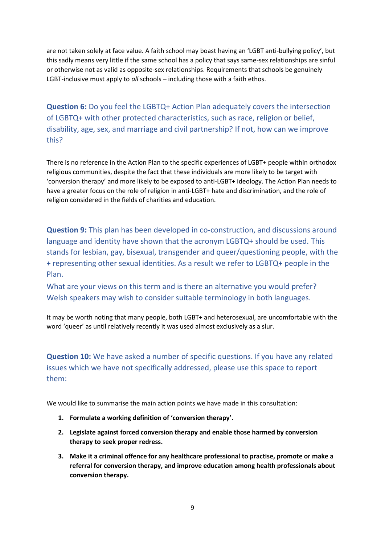are not taken solely at face value. A faith school may boast having an 'LGBT anti-bullying policy', but this sadly means very little if the same school has a policy that says same-sex relationships are sinful or otherwise not as valid as opposite-sex relationships. Requirements that schools be genuinely LGBT-inclusive must apply to *all* schools – including those with a faith ethos.

**Question 6:** Do you feel the LGBTQ+ Action Plan adequately covers the intersection of LGBTQ+ with other protected characteristics, such as race, religion or belief, disability, age, sex, and marriage and civil partnership? If not, how can we improve this?

There is no reference in the Action Plan to the specific experiences of LGBT+ people within orthodox religious communities, despite the fact that these individuals are more likely to be target with 'conversion therapy' and more likely to be exposed to anti-LGBT+ ideology. The Action Plan needs to have a greater focus on the role of religion in anti-LGBT+ hate and discrimination, and the role of religion considered in the fields of charities and education.

**Question 9:** This plan has been developed in co-construction, and discussions around language and identity have shown that the acronym LGBTQ+ should be used. This stands for lesbian, gay, bisexual, transgender and queer/questioning people, with the + representing other sexual identities. As a result we refer to LGBTQ+ people in the Plan.

What are your views on this term and is there an alternative you would prefer? Welsh speakers may wish to consider suitable terminology in both languages.

It may be worth noting that many people, both LGBT+ and heterosexual, are uncomfortable with the word 'queer' as until relatively recently it was used almost exclusively as a slur.

# **Question 10:** We have asked a number of specific questions. If you have any related issues which we have not specifically addressed, please use this space to report them:

We would like to summarise the main action points we have made in this consultation:

- **1. Formulate a working definition of 'conversion therapy'.**
- **2. Legislate against forced conversion therapy and enable those harmed by conversion therapy to seek proper redress.**
- **3. Make it a criminal offence for any healthcare professional to practise, promote or make a referral for conversion therapy, and improve education among health professionals about conversion therapy.**